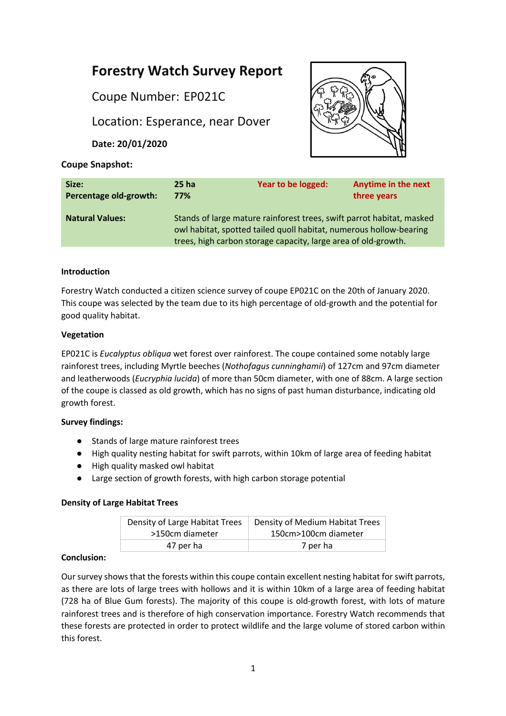# **Forestry Watch Survey Report**

Coupe Number: EP021C

Location: Esperance, near Dover

**Date: 20/01/2020**



# **Coupe Snapshot:**

| Size:                  | 25 ha                                                                                                                                                                                                         | Year to be logged: | <b>Anytime in the next</b> |
|------------------------|---------------------------------------------------------------------------------------------------------------------------------------------------------------------------------------------------------------|--------------------|----------------------------|
| Percentage old-growth: | 77%                                                                                                                                                                                                           |                    | three years                |
| <b>Natural Values:</b> | Stands of large mature rainforest trees, swift parrot habitat, masked<br>owl habitat, spotted tailed quoll habitat, numerous hollow-bearing<br>trees, high carbon storage capacity, large area of old-growth. |                    |                            |

# **Introduction**

Forestry Watch conducted a citizen science survey of coupe EP021C on the 20th of January 2020. This coupe was selected by the team due to its high percentage of old-growth and the potential for good quality habitat.

## **Vegetation**

EP021C is *Eucalyptus obliqua* wet forest over rainforest. The coupe contained some notably large rainforest trees, including Myrtle beeches (*Nothofagus cunninghamii*) of 127cm and 97cm diameter and leatherwoods (*Eucryphia lucida*) of more than 50cm diameter, with one of 88cm. A large section of the coupe is classed as old growth, which has no signs of past human disturbance, indicating old growth forest.

# **Survey findings:**

- Stands of large mature rainforest trees
- High quality nesting habitat for swift parrots, within 10km of large area of feeding habitat
- High quality masked owl habitat
- Large section of growth forests, with high carbon storage potential

## **Density of Large Habitat Trees**

| Density of Large Habitat Trees | Density of Medium Habitat Trees |  |
|--------------------------------|---------------------------------|--|
| >150cm diameter                | 150cm>100cm diameter            |  |
| 47 per ha                      | 7 per ha                        |  |

## **Conclusion:**

Our survey shows that the forests within this coupe contain excellent nesting habitat for swift parrots, as there are lots of large trees with hollows and it is within 10km of a large area of feeding habitat (728 ha of Blue Gum forests). The majority of this coupe is old-growth forest, with lots of mature rainforest trees and is therefore of high conservation importance. Forestry Watch recommends that these forests are protected in order to protect wildlife and the large volume of stored carbon within this forest.